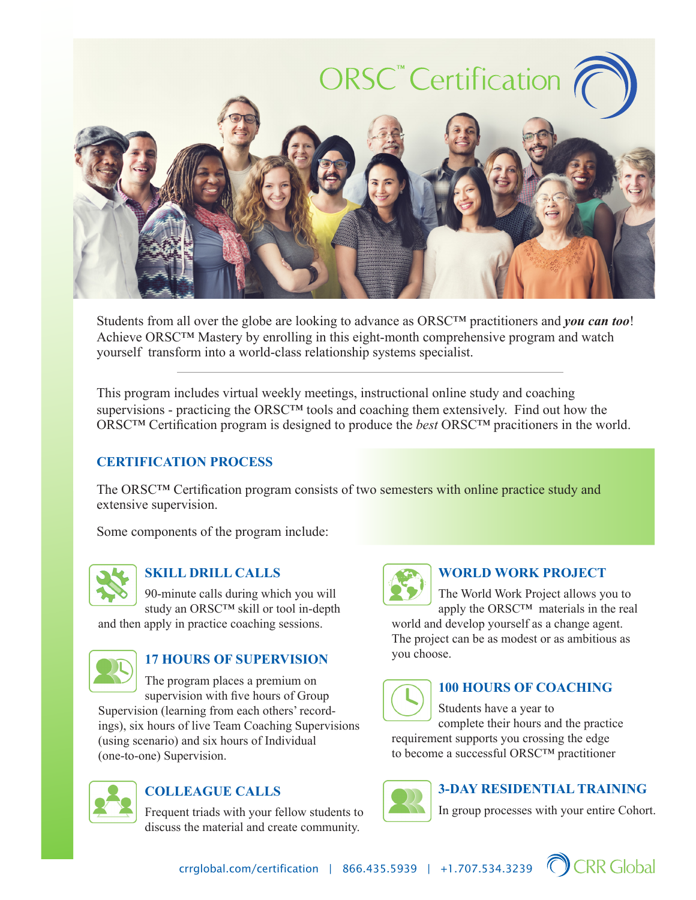

Students from all over the globe are looking to advance as ORSC™ practitioners and *you can too*! Achieve ORSC™ Mastery by enrolling in this eight-month comprehensive program and watch yourself transform into a world-class relationship systems specialist.

This program includes virtual weekly meetings, instructional online study and coaching supervisions - practicing the ORSC™ tools and coaching them extensively. Find out how the ORSC™ Certification program is designed to produce the *best* ORSC™ pracitioners in the world.

#### **CERTIFICATION PROCESS**

The ORSC™ Certification program consists of two semesters with online practice study and extensive supervision.

Some components of the program include:



#### **SKILL DRILL CALLS**

90-minute calls during which you will study an ORSC™ skill or tool in-depth

and then apply in practice coaching sessions.



### **17 HOURS OF SUPERVISION**

The program places a premium on supervision with five hours of Group

Supervision (learning from each others' recordings), six hours of live Team Coaching Supervisions (using scenario) and six hours of Individual (one-to-one) Supervision.



## **COLLEAGUE CALLS**

Frequent triads with your fellow students to discuss the material and create community.



#### **WORLD WORK PROJECT**

The World Work Project allows you to apply the ORSC™ materials in the real

world and develop yourself as a change agent. The project can be as modest or as ambitious as you choose.



#### **100 HOURS OF COACHING**

Students have a year to complete their hours and the practice requirement supports you crossing the edge to become a successful ORSC™ practitioner



#### **3-DAY RESIDENTIAL TRAINING**

In group processes with your entire Cohort.



crrglobal.com/certification | 866.435.5939 | +1.707.534.3239